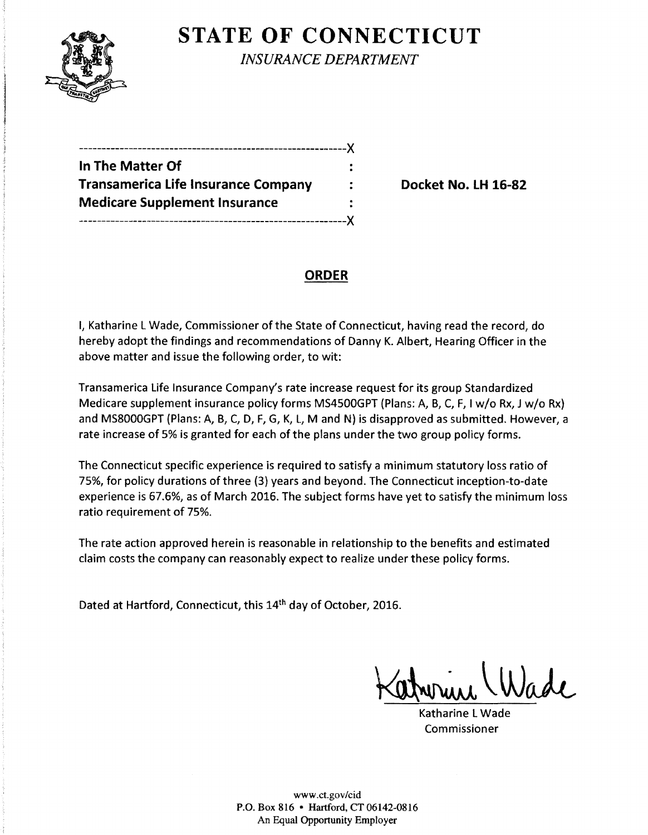

**STATE OF CONNECTICUT** *INSURANCE DEPARTMENT* 

-----------------------------------------------------------)( **In The Matter Of Transamerica Life Insurance Company : Branch Pocket No. LH 16-82 Medicare Supplement Insurance**  -----------------------------------------------------------)(

# **ORDER**

I, Katharine L Wade, Commissioner of the State of Connecticut, having read the record, do hereby adopt the findings and recommendations of Danny K. Albert, Hearing Officer in the above matter and issue the following order, to wit:

Transamerica Life Insurance Company's rate increase request for its group Standardized Medicare supplement insurance policy forms MS4500GPT (Plans: A, B, C, F, I w/o Rx, J w/o Rx} and MS8000GPT (Plans: A, B, C, D, F, G, K, L, M and N} is disapproved as submitted. However, a rate increase of 5% is granted for each of the plans under the two group policy forms.

The Connecticut specific experience is required to satisfy a minimum statutory loss ratio of 75%, for policy durations of three (3) years and beyond. The Connecticut inception-to-date experience is 67.6%, as of March 2016. The subject forms have yet to satisfy the minimum loss ratio requirement of 75%.

The rate action approved herein is reasonable in relationship to the benefits and estimated claim costs the company can reasonably expect to realize under these policy forms.

Dated at Hartford, Connecticut, this 14<sup>th</sup> day of October, 2016.

Katharine L Wade Commissioner

www.ct.gov/cid P.O. Box 816 • Hartford, CT 06142-0816 An Equal Opportunity Employer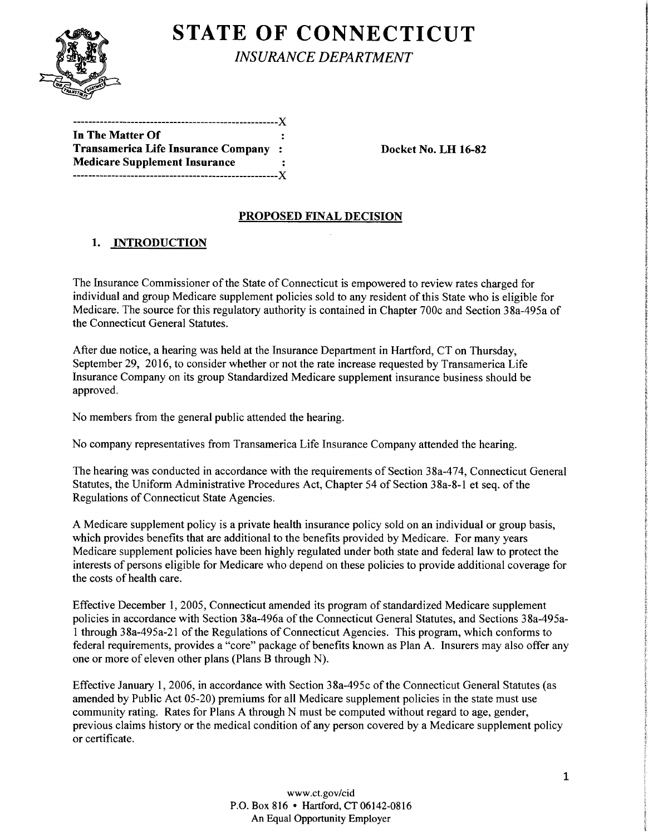

# **STATE OF CONNECTICUT**

*INSURANCE DEPARTMENT* 

| ---------------------------------X   |            |
|--------------------------------------|------------|
| In The Matter Of                     |            |
| Transamerica Life Insurance Company  | $\sim$ 200 |
| <b>Medicare Supplement Insurance</b> |            |
|                                      |            |
|                                      |            |

Docket No. LH 16-82

## PROPOSED FINAL DECISION

## 1. INTRODUCTION

The Insurance Commissioner of the State of Connecticut is empowered to review rates charged for individual and group Medicare supplement policies sold to any resident of this State who is eligible for Medicare. The source for this regulatory authority is contained in Chapter 700c and Section 38a-495a of the Connecticut General Statutes.

After due notice, a hearing was held at the Insurance Department in Hartford, CT on Thursday, September 29, 2016, to consider whether or not the rate increase requested by Transamerica Life Insurance Company on its group Standardized Medicare supplement insurance business should be approved.

No members from the general public attended the hearing.

No company representatives from Transamerica Life Insurance Company attended the hearing.

The hearing was conducted in accordance with the requirements of Section 38a-474, Connecticut General Statutes, the Uniform Administrative Procedures Act, Chapter 54 of Section 38a-8-1 et seq. of the Regulations of Connecticut State Agencies.

A Medicare supplement policy is a private health insurance policy sold on an individual or group basis, which provides benefits that are additional to the benefits provided by Medicare. For many years Medicare supplement policies have been highly regulated under both state and federal law to protect the interests of persons eligible for Medicare who depend on these policies to provide additional coverage for the costs of health care.

Effective December 1, 2005, Connecticut amended its program of standardized Medicare supplement policies in accordance with Section 38a-496a of the Connecticut General Statutes, and Sections 38a-495al through 38a-495a-21 of the Regulations of Connecticut Agencies. This program, which conforms to federal requirements, provides a "core" package of benefits known as Plan A. Insurers may also offer any one or more of eleven other plans (Plans B through N).

Effective January 1, 2006, in accordance with Section 38a-495c ofthe Connecticut General Statutes (as amended by Public Act 05-20) premiums for all Medicare supplement policies in the state must use community rating. Rates for Plans A through N must be computed without regard to age, gender, previous claims history or the medical condition of any person covered by a Medicare supplement policy or certificate.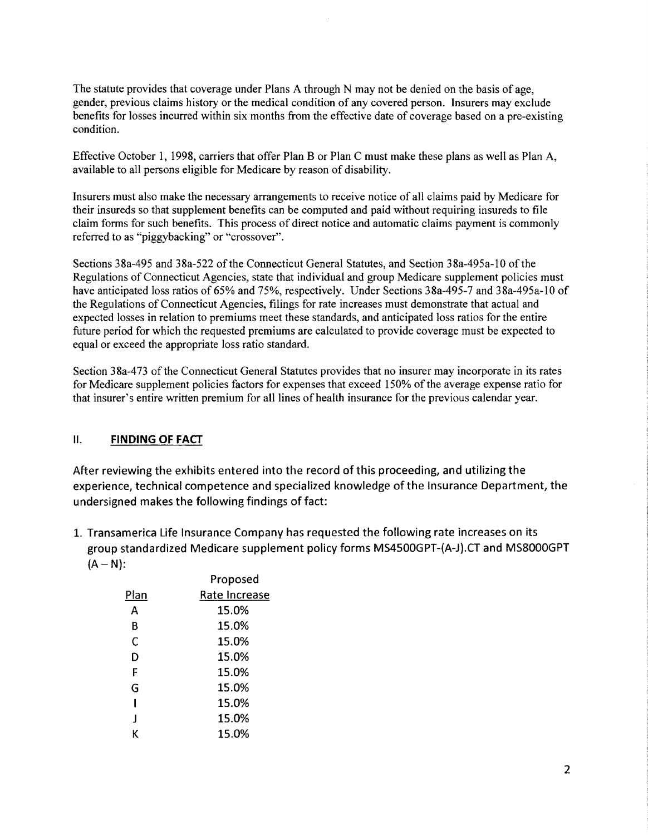The statute provides that coverage under Plans A through N may not be denied on the basis of age, gender, previous claims history or the medical condition of any covered person. Insurers may exclude benefits for losses incurred within six months from the effective date of coverage based on a pre-existing condition.

Effective October 1, 1998, carriers that offer Plan B or Plan C must make these plans as well as Plan A, available to all persons eligible for Medicare by reason of disability.

Insurers must also make the necessary arrangements to receive notice of all claims paid by Medicare for their insureds so that supplement benefits can be computed and paid without requiring insureds to file claim forms for such benefits. This process of direct notice and automatic claims payment is commonly referred to as "piggybacking" or "crossover".

Sections 38a-495 and 38a-522 of the Connecticut General Statutes, and Section 38a-495a-10 of the Regulations of Connecticut Agencies, state that individual and group Medicare supplement policies must have anticipated loss ratios of 65% and 75%, respectively. Under Sections 38a-495-7 and 38a-495a-10 of the Regulations of Connecticut Agencies, filings for rate increases must demonstrate that actual and expected losses in relation to premiums meet these standards, and anticipated loss ratios for the entire future period for which the requested premiums are calculated to provide coverage must be expected to equal or exceed the appropriate loss ratio standard.

Section 38a-473 of the Connecticut General Statutes provides that no insurer may incorporate in its rates for Medicare supplement policies factors for expenses that exceed 150% of the average expense ratio for that insurer's entire written premium for all lines of health insurance for the previous calendar year.

#### II. **FINDING OF FACT**

After reviewing the exhibits entered into the record of this proceeding, and utilizing the experience, technical competence and specialized knowledge of the Insurance Department, the undersigned makes the following findings of fact:

1. Transamerica Life Insurance Company has requested the following rate increases on its group standardized Medicare supplement policy forms MS4500GPT-(A-J).CT and MS8000GPT  $(A - N)$ :

|              | Proposed      |
|--------------|---------------|
| Plan         | Rate Increase |
| А            | 15.0%         |
| В            | 15.0%         |
| C            | 15.0%         |
| D            | 15.0%         |
| F            | 15.0%         |
| G            | 15.0%         |
|              | 15.0%         |
| $\mathbf{I}$ | 15.0%         |
| ĸ            | 15.0%         |